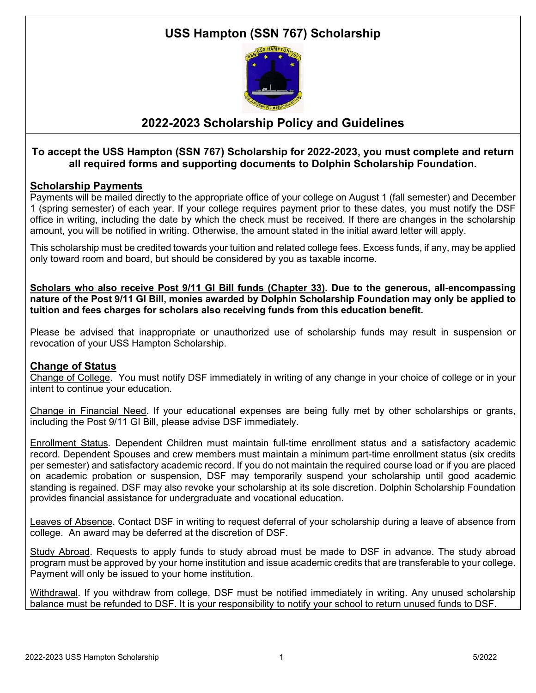# **USS Hampton (SSN 767) Scholarship**



## **2022-2023 Scholarship Policy and Guidelines**

### **To accept the USS Hampton (SSN 767) Scholarship for 2022-2023, you must complete and return all required forms and supporting documents to Dolphin Scholarship Foundation.**

### **Scholarship Payments**

Payments will be mailed directly to the appropriate office of your college on August 1 (fall semester) and December 1 (spring semester) of each year. If your college requires payment prior to these dates, you must notify the DSF office in writing, including the date by which the check must be received. If there are changes in the scholarship amount, you will be notified in writing. Otherwise, the amount stated in the initial award letter will apply.

This scholarship must be credited towards your tuition and related college fees. Excess funds, if any, may be applied only toward room and board, but should be considered by you as taxable income.

**Scholars who also receive Post 9/11 GI Bill funds (Chapter 33). Due to the generous, all-encompassing nature of the Post 9/11 GI Bill, monies awarded by Dolphin Scholarship Foundation may only be applied to tuition and fees charges for scholars also receiving funds from this education benefit.**

Please be advised that inappropriate or unauthorized use of scholarship funds may result in suspension or revocation of your USS Hampton Scholarship.

### **Change of Status**

Change of College. You must notify DSF immediately in writing of any change in your choice of college or in your intent to continue your education.

Change in Financial Need. If your educational expenses are being fully met by other scholarships or grants, including the Post 9/11 GI Bill, please advise DSF immediately.

Enrollment Status. Dependent Children must maintain full-time enrollment status and a satisfactory academic record. Dependent Spouses and crew members must maintain a minimum part-time enrollment status (six credits per semester) and satisfactory academic record. If you do not maintain the required course load or if you are placed on academic probation or suspension, DSF may temporarily suspend your scholarship until good academic standing is regained. DSF may also revoke your scholarship at its sole discretion. Dolphin Scholarship Foundation provides financial assistance for undergraduate and vocational education.

Leaves of Absence. Contact DSF in writing to request deferral of your scholarship during a leave of absence from college. An award may be deferred at the discretion of DSF.

Study Abroad. Requests to apply funds to study abroad must be made to DSF in advance. The study abroad program must be approved by your home institution and issue academic credits that are transferable to your college. Payment will only be issued to your home institution.

Withdrawal. If you withdraw from college, DSF must be notified immediately in writing. Any unused scholarship balance must be refunded to DSF. It is your responsibility to notify your school to return unused funds to DSF.